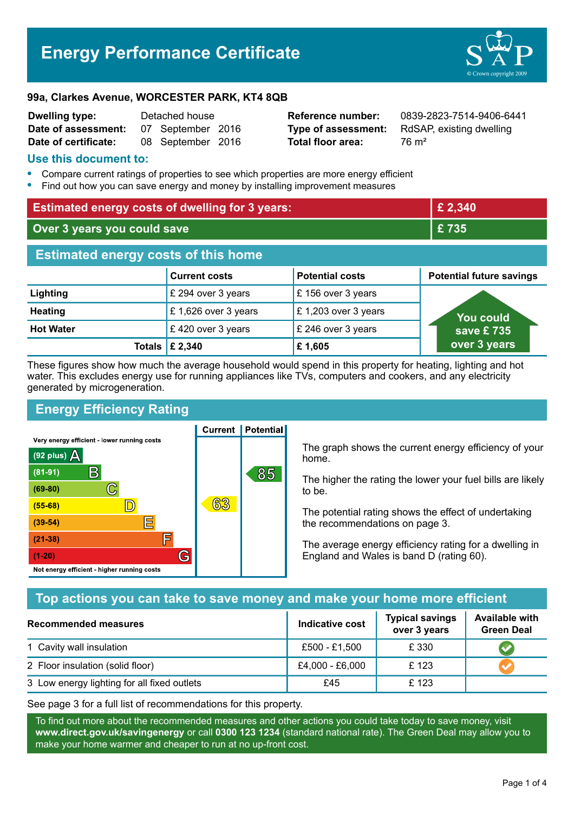# **Energy Performance Certificate**



#### **99a, Clarkes Avenue, WORCESTER PARK, KT4 8QB**

| <b>Dwelling type:</b> | Detached house |                   |  |
|-----------------------|----------------|-------------------|--|
| Date of assessment:   |                | 07 September 2016 |  |
| Date of certificate:  |                | 08 September 2016 |  |

**Total floor area:** 76 m<sup>2</sup>

**Reference number:** 0839-2823-7514-9406-6441 **Type of assessment:** RdSAP, existing dwelling

### **Use this document to:**

- **•** Compare current ratings of properties to see which properties are more energy efficient
- **•** Find out how you can save energy and money by installing improvement measures

| <b>Estimated energy costs of dwelling for 3 years:</b> |                      |                        | £ 2,340                         |  |
|--------------------------------------------------------|----------------------|------------------------|---------------------------------|--|
| Over 3 years you could save                            |                      | £735                   |                                 |  |
| <b>Estimated energy costs of this home</b>             |                      |                        |                                 |  |
|                                                        | <b>Current costs</b> | <b>Potential costs</b> | <b>Potential future savings</b> |  |
| Lighting                                               | £ 294 over 3 years   | £156 over 3 years      |                                 |  |
| <b>Heating</b>                                         | £1,626 over 3 years  | £ 1,203 over 3 years   | <b>You could</b>                |  |
| <b>Hot Water</b>                                       | £420 over 3 years    | £ 246 over 3 years     | save £735                       |  |
| <b>Totals</b>                                          | £ 2,340              | £1,605                 | over 3 years                    |  |

These figures show how much the average household would spend in this property for heating, lighting and hot water. This excludes energy use for running appliances like TVs, computers and cookers, and any electricity generated by microgeneration.

**Current | Potential** 

# **Energy Efficiency Rating**

Very energy efficient - lower running costs



The graph shows the current energy efficiency of your home.

The higher the rating the lower your fuel bills are likely to be.

The potential rating shows the effect of undertaking the recommendations on page 3.

The average energy efficiency rating for a dwelling in England and Wales is band D (rating 60).

# **Top actions you can take to save money and make your home more efficient**

| Recommended measures                        | Indicative cost | <b>Typical savings</b><br>over 3 years | <b>Available with</b><br><b>Green Deal</b> |
|---------------------------------------------|-----------------|----------------------------------------|--------------------------------------------|
| 1 Cavity wall insulation                    | £500 - £1,500   | £ 330                                  |                                            |
| 2 Floor insulation (solid floor)            | £4,000 - £6,000 | £ 123                                  |                                            |
| 3 Low energy lighting for all fixed outlets | £45             | £123                                   |                                            |

See page 3 for a full list of recommendations for this property.

To find out more about the recommended measures and other actions you could take today to save money, visit **www.direct.gov.uk/savingenergy** or call **0300 123 1234** (standard national rate). The Green Deal may allow you to make your home warmer and cheaper to run at no up-front cost.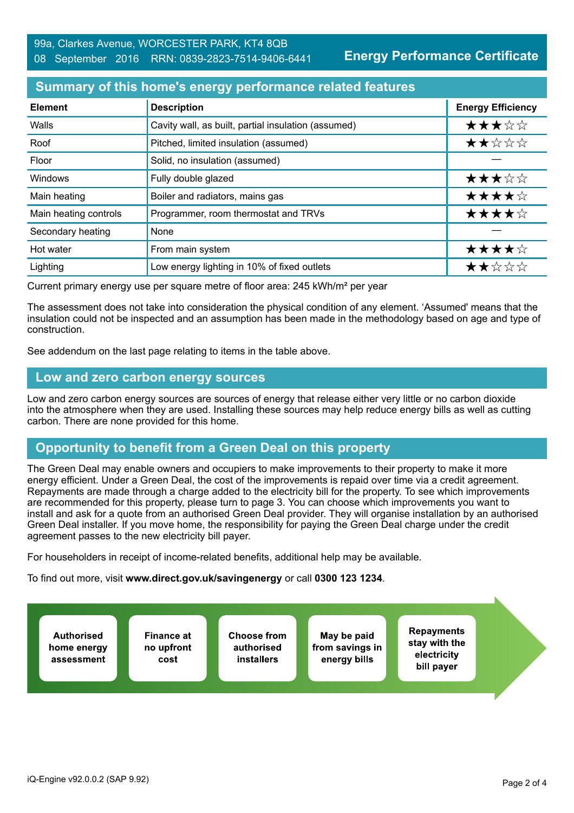**Energy Performance Certificate**

## **Summary of this home's energy performance related features**

| <b>Element</b>        | <b>Description</b>                                  | <b>Energy Efficiency</b> |
|-----------------------|-----------------------------------------------------|--------------------------|
| Walls                 | Cavity wall, as built, partial insulation (assumed) | ★★★☆☆                    |
| Roof                  | Pitched, limited insulation (assumed)               | ★★☆☆☆                    |
| Floor                 | Solid, no insulation (assumed)                      |                          |
| Windows               | Fully double glazed                                 | ★★★☆☆                    |
| Main heating          | Boiler and radiators, mains gas                     | ★★★★☆                    |
| Main heating controls | Programmer, room thermostat and TRVs                | ★★★★☆                    |
| Secondary heating     | None                                                |                          |
| Hot water             | From main system                                    | ★★★★☆                    |
| Lighting              | Low energy lighting in 10% of fixed outlets         | ★★☆☆☆                    |

Current primary energy use per square metre of floor area: 245 kWh/m² per year

The assessment does not take into consideration the physical condition of any element. 'Assumed' means that the insulation could not be inspected and an assumption has been made in the methodology based on age and type of construction.

See addendum on the last page relating to items in the table above.

### **Low and zero carbon energy sources**

Low and zero carbon energy sources are sources of energy that release either very little or no carbon dioxide into the atmosphere when they are used. Installing these sources may help reduce energy bills as well as cutting carbon. There are none provided for this home.

# **Opportunity to benefit from a Green Deal on this property**

The Green Deal may enable owners and occupiers to make improvements to their property to make it more energy efficient. Under a Green Deal, the cost of the improvements is repaid over time via a credit agreement. Repayments are made through a charge added to the electricity bill for the property. To see which improvements are recommended for this property, please turn to page 3. You can choose which improvements you want to install and ask for a quote from an authorised Green Deal provider. They will organise installation by an authorised Green Deal installer. If you move home, the responsibility for paying the Green Deal charge under the credit agreement passes to the new electricity bill payer.

For householders in receipt of income-related benefits, additional help may be available.

To find out more, visit **www.direct.gov.uk/savingenergy** or call **0300 123 1234**.

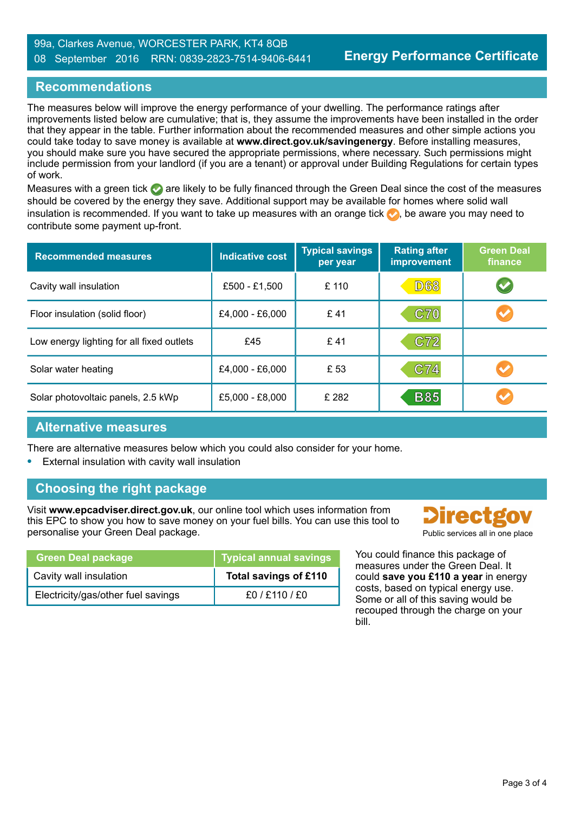## **Recommendations**

The measures below will improve the energy performance of your dwelling. The performance ratings after improvements listed below are cumulative; that is, they assume the improvements have been installed in the order that they appear in the table. Further information about the recommended measures and other simple actions you could take today to save money is available at **www.direct.gov.uk/savingenergy**. Before installing measures, you should make sure you have secured the appropriate permissions, where necessary. Such permissions might include permission from your landlord (if you are a tenant) or approval under Building Regulations for certain types of work.

Measures with a green tick  $\bullet$  are likely to be fully financed through the Green Deal since the cost of the measures should be covered by the energy they save. Additional support may be available for homes where solid wall insulation is recommended. If you want to take up measures with an orange tick  $\bullet$ , be aware you may need to contribute some payment up-front.

| <b>Recommended measures</b>               | <b>Indicative cost</b> | <b>Typical savings</b><br>per year | <b>Rating after</b><br>improvement | <b>Green Deal</b><br>finance |
|-------------------------------------------|------------------------|------------------------------------|------------------------------------|------------------------------|
| Cavity wall insulation                    | £500 - £1,500          | £ 110                              | <b>D68</b>                         | $\blacktriangledown$         |
| Floor insulation (solid floor)            | £4,000 - £6,000        | £41                                | C70                                |                              |
| Low energy lighting for all fixed outlets | £45                    | £41                                | C72                                |                              |
| Solar water heating                       | £4,000 - £6,000        | £ 53                               | C74                                |                              |
| Solar photovoltaic panels, 2.5 kWp        | £5,000 - £8,000        | £282                               | <b>B85</b>                         |                              |

## **Alternative measures**

There are alternative measures below which you could also consider for your home.

**•** External insulation with cavity wall insulation

# **Choosing the right package**

Visit **www.epcadviser.direct.gov.uk**, our online tool which uses information from this EPC to show you how to save money on your fuel bills. You can use this tool to personalise your Green Deal package. **Public services all in one place** provided by Public services all in one place

| <b>Green Deal package</b>          | <b>Typical annual savings</b> |
|------------------------------------|-------------------------------|
| Cavity wall insulation             | Total savings of £110         |
| Electricity/gas/other fuel savings | f0 / f110 / f0                |

**Directgo** 

You could finance this package of measures under the Green Deal. It could **save you £110 a year** in energy costs, based on typical energy use. Some or all of this saving would be recouped through the charge on your bill.